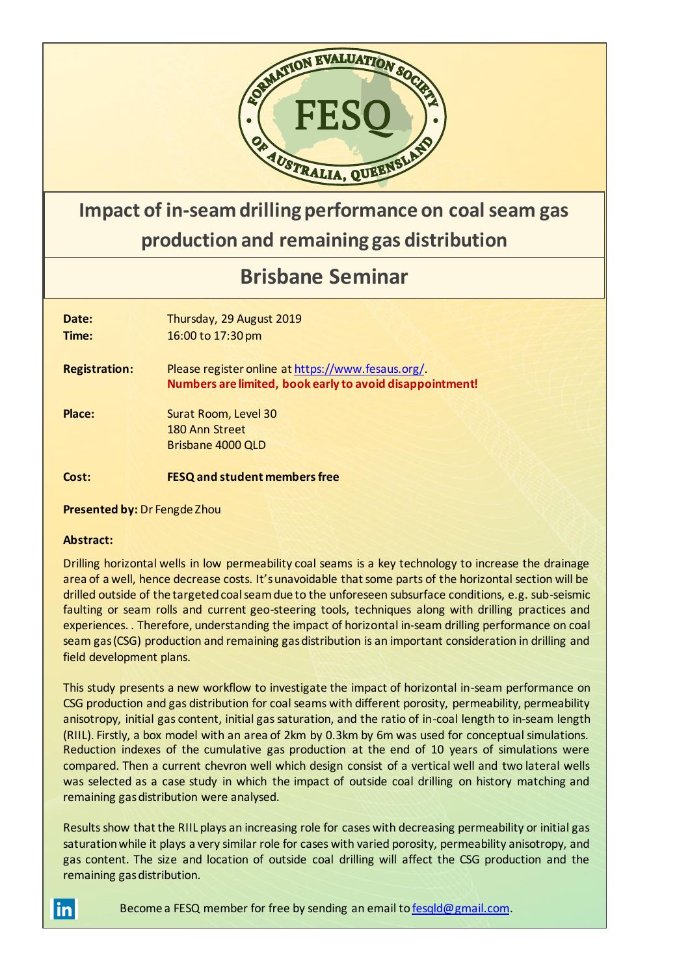

## **Impact of in-seam drilling performance on coal seam gas production and remaining gas distribution**

## **Brisbane Seminar**

| Date:<br>Time:       | Thursday, 29 August 2019<br>16:00 to 17:30 pm                                                                 |
|----------------------|---------------------------------------------------------------------------------------------------------------|
| <b>Registration:</b> | Please register online at https://www.fesaus.org/<br>Numbers are limited, book early to avoid disappointment! |
| Place:               | Surat Room, Level 30<br>180 Ann Street<br>Brisbane 4000 QLD                                                   |
| Cost:                | <b>FESQ and student members free</b>                                                                          |

**Presented by:** Dr Fengde Zhou

## **Abstract:**

Drilling horizontal wells in low permeability coal seams is a key technology to increase the drainage area of a well, hence decrease costs. It's unavoidable that some parts of the horizontal section will be drilled outside of the targeted coal seam due to the unforeseen subsurface conditions, e.g. sub-seismic faulting or seam rolls and current geo-steering tools, techniques along with drilling practices and experiences. . Therefore, understanding the impact of horizontal in-seam drilling performance on coal seam gas (CSG) production and remaining gas distribution is an important consideration in drilling and field development plans.

This study presents a new workflow to investigate the impact of horizontal in-seam performance on CSG production and gas distribution for coal seams with different porosity, permeability, permeability anisotropy, initial gas content, initial gas saturation, and the ratio of in-coal length to in-seam length (RIIL). Firstly, a box model with an area of 2km by 0.3km by 6m was used for conceptual simulations. Reduction indexes of the cumulative gas production at the end of 10 years of simulations were compared. Then a current chevron well which design consist of a vertical well and two lateral wells was selected as a case study in which the impact of outside coal drilling on history matching and remaining gas distribution were analysed.

Results show that the RIIL plays an increasing role for cases with decreasing permeability or initial gas saturation while it plays a very similar role for cases with varied porosity, permeability anisotropy, and gas content. The size and location of outside coal drilling will affect the CSG production and the remaining gas distribution.

<u>inl</u>

Become a FESQ member for free by sending an email to [fesqld@gmail.com.](mailto:fesqld@gmail.com)